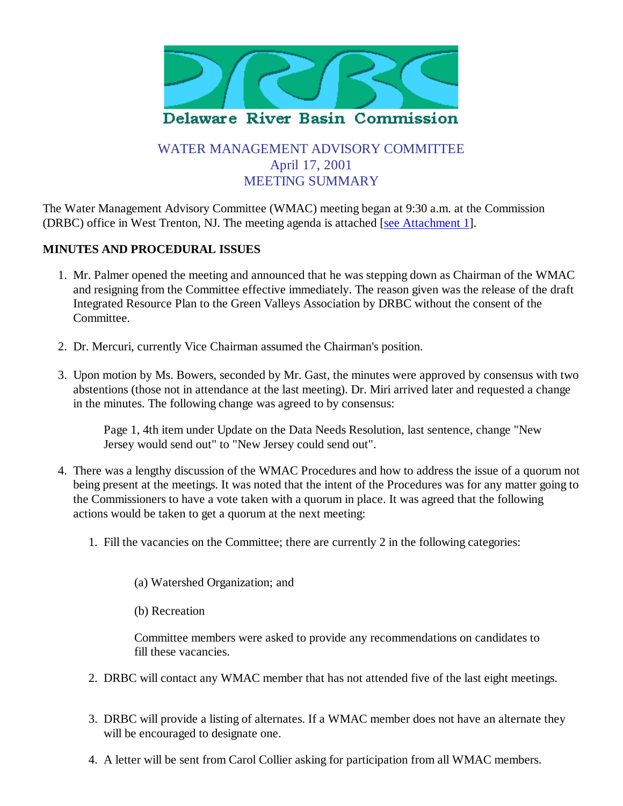

# WATER MANAGEMENT ADVISORY COMMITTEE April 17, 2001 MEETING SUMMARY

The Water Management Advisory Committee (WMAC) meeting began at 9:30 a.m. at the Commission (DRBC) office in West Trenton, NJ. The meeting agenda is attached [see Attachment 1].

### **MINUTES AND PROCEDURAL ISSUES**

- 1. Mr. Palmer opened the meeting and announced that he was stepping down as Chairman of the WMAC and resigning from the Committee effective immediately. The reason given was the release of the draft Integrated Resource Plan to the Green Valleys Association by DRBC without the consent of the Committee.
- 2. Dr. Mercuri, currently Vice Chairman assumed the Chairman's position.
- 3. Upon motion by Ms. Bowers, seconded by Mr. Gast, the minutes were approved by consensus with two abstentions (those not in attendance at the last meeting). Dr. Miri arrived later and requested a change in the minutes. The following change was agreed to by consensus:

Page 1, 4th item under Update on the Data Needs Resolution, last sentence, change "New Jersey would send out" to "New Jersey could send out".

- There was a lengthy discussion of the WMAC Procedures and how to address the issue of a quorum not 4. being present at the meetings. It was noted that the intent of the Procedures was for any matter going to the Commissioners to have a vote taken with a quorum in place. It was agreed that the following actions would be taken to get a quorum at the next meeting:
	- 1. Fill the vacancies on the Committee; there are currently 2 in the following categories:
		- (a) Watershed Organization; and
		- (b) Recreation

Committee members were asked to provide any recommendations on candidates to fill these vacancies.

- 2. DRBC will contact any WMAC member that has not attended five of the last eight meetings.
- DRBC will provide a listing of alternates. If a WMAC member does not have an alternate they 3. will be encouraged to designate one.
- 4. A letter will be sent from Carol Collier asking for participation from all WMAC members.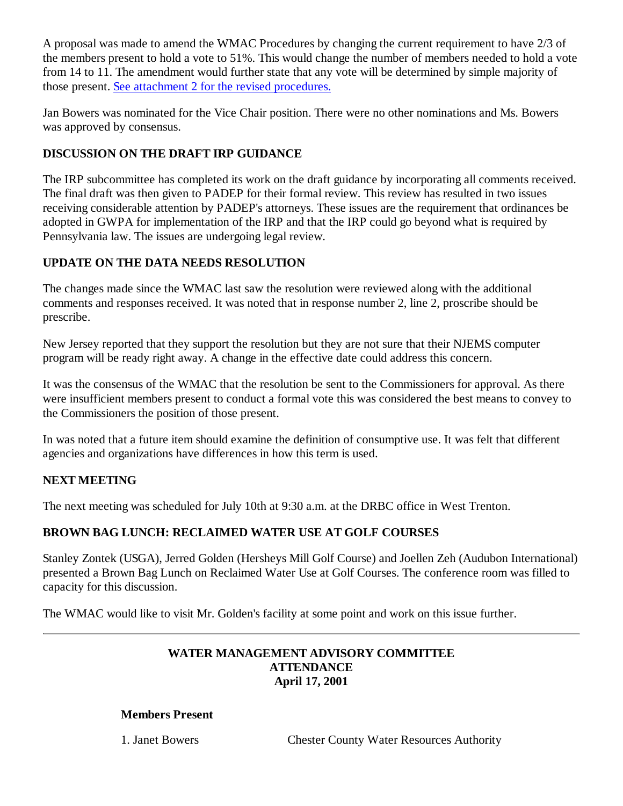A proposal was made to amend the WMAC Procedures by changing the current requirement to have 2/3 of the members present to hold a vote to 51%. This would change the number of members needed to hold a vote from 14 to 11. The amendment would further state that any vote will be determined by simple majority of those present. See attachment 2 for the revised procedures.

Jan Bowers was nominated for the Vice Chair position. There were no other nominations and Ms. Bowers was approved by consensus.

### **DISCUSSION ON THE DRAFT IRP GUIDANCE**

The IRP subcommittee has completed its work on the draft guidance by incorporating all comments received. The final draft was then given to PADEP for their formal review. This review has resulted in two issues receiving considerable attention by PADEP's attorneys. These issues are the requirement that ordinances be adopted in GWPA for implementation of the IRP and that the IRP could go beyond what is required by Pennsylvania law. The issues are undergoing legal review.

### **UPDATE ON THE DATA NEEDS RESOLUTION**

The changes made since the WMAC last saw the resolution were reviewed along with the additional comments and responses received. It was noted that in response number 2, line 2, proscribe should be prescribe.

New Jersey reported that they support the resolution but they are not sure that their NJEMS computer program will be ready right away. A change in the effective date could address this concern.

It was the consensus of the WMAC that the resolution be sent to the Commissioners for approval. As there were insufficient members present to conduct a formal vote this was considered the best means to convey to the Commissioners the position of those present.

In was noted that a future item should examine the definition of consumptive use. It was felt that different agencies and organizations have differences in how this term is used.

### **NEXT MEETING**

The next meeting was scheduled for July 10th at 9:30 a.m. at the DRBC office in West Trenton.

## **BROWN BAG LUNCH: RECLAIMED WATER USE AT GOLF COURSES**

Stanley Zontek (USGA), Jerred Golden (Hersheys Mill Golf Course) and Joellen Zeh (Audubon International) presented a Brown Bag Lunch on Reclaimed Water Use at Golf Courses. The conference room was filled to capacity for this discussion.

The WMAC would like to visit Mr. Golden's facility at some point and work on this issue further.

#### **WATER MANAGEMENT ADVISORY COMMITTEE ATTENDANCE April 17, 2001**

#### **Members Present**

1. Janet Bowers Chester County Water Resources Authority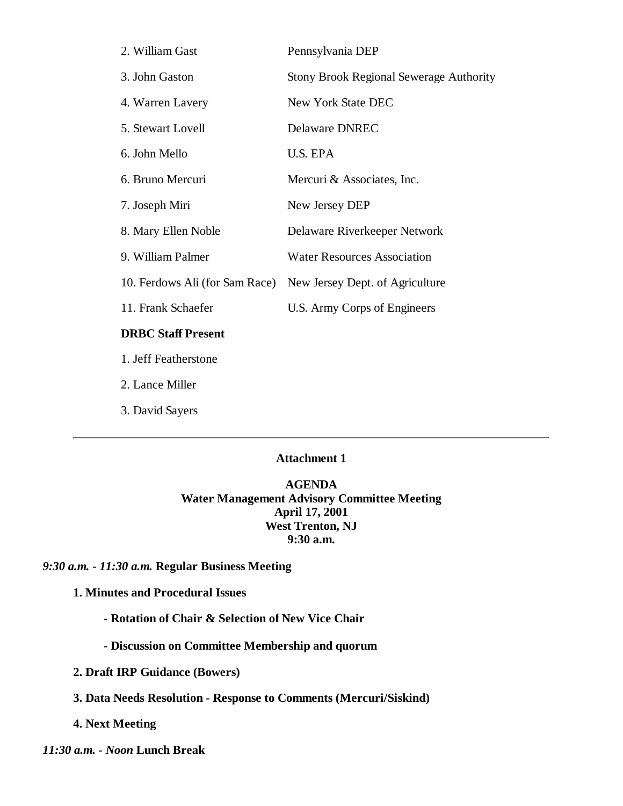| 2. William Gast                | Pennsylvania DEP                               |
|--------------------------------|------------------------------------------------|
| 3. John Gaston                 | <b>Stony Brook Regional Sewerage Authority</b> |
| 4. Warren Lavery               | New York State DEC                             |
| 5. Stewart Lovell              | Delaware DNREC                                 |
| 6. John Mello                  | U.S. EPA                                       |
| 6. Bruno Mercuri               | Mercuri & Associates, Inc.                     |
| 7. Joseph Miri                 | New Jersey DEP                                 |
| 8. Mary Ellen Noble            | Delaware Riverkeeper Network                   |
| 9. William Palmer              | <b>Water Resources Association</b>             |
| 10. Ferdows Ali (for Sam Race) | New Jersey Dept. of Agriculture                |
| 11. Frank Schaefer             | U.S. Army Corps of Engineers                   |
| <b>DRBC Staff Present</b>      |                                                |
|                                |                                                |

1. Jeff Featherstone

2. Lance Miller

3. David Sayers

#### **Attachment 1**

**AGENDA Water Management Advisory Committee Meeting April 17, 2001 West Trenton, NJ 9:30 a.m.**

*9:30 a.m. - 11:30 a.m.* **Regular Business Meeting**

**1. Minutes and Procedural Issues**

**- Rotation of Chair & Selection of New Vice Chair**

**- Discussion on Committee Membership and quorum**

**2. Draft IRP Guidance (Bowers)**

**3. Data Needs Resolution - Response to Comments (Mercuri/Siskind)**

**4. Next Meeting**

*11:30 a.m. - Noon* **Lunch Break**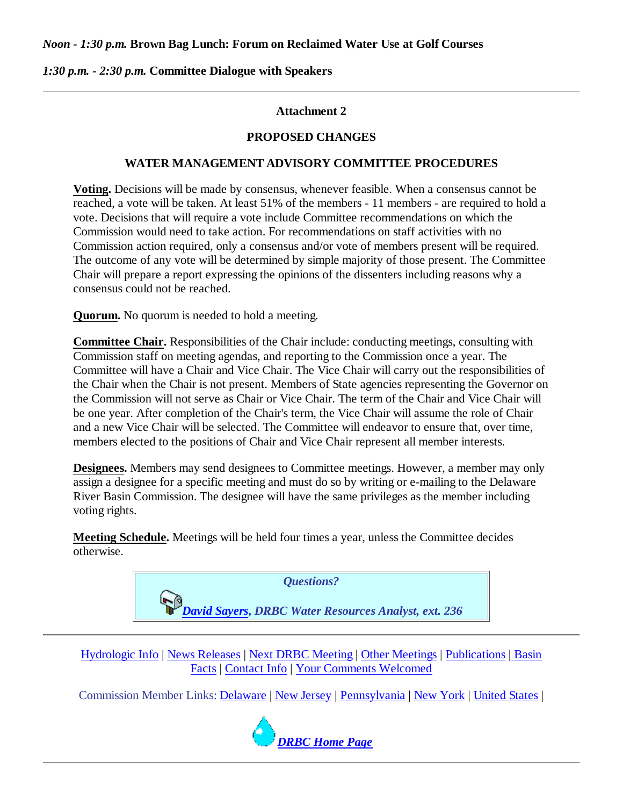#### *Noon - 1:30 p.m.* **Brown Bag Lunch: Forum on Reclaimed Water Use at Golf Courses**

#### *1:30 p.m. - 2:30 p.m.* **Committee Dialogue with Speakers**

#### **Attachment 2**

#### **PROPOSED CHANGES**

#### **WATER MANAGEMENT ADVISORY COMMITTEE PROCEDURES**

**Voting.** Decisions will be made by consensus, whenever feasible. When a consensus cannot be reached, a vote will be taken. At least 51% of the members - 11 members - are required to hold a vote. Decisions that will require a vote include Committee recommendations on which the Commission would need to take action. For recommendations on staff activities with no Commission action required, only a consensus and/or vote of members present will be required. The outcome of any vote will be determined by simple majority of those present. The Committee Chair will prepare a report expressing the opinions of the dissenters including reasons why a consensus could not be reached.

**Quorum.** No quorum is needed to hold a meeting.

**Committee Chair.** Responsibilities of the Chair include: conducting meetings, consulting with Commission staff on meeting agendas, and reporting to the Commission once a year. The Committee will have a Chair and Vice Chair. The Vice Chair will carry out the responsibilities of the Chair when the Chair is not present. Members of State agencies representing the Governor on the Commission will not serve as Chair or Vice Chair. The term of the Chair and Vice Chair will be one year. After completion of the Chair's term, the Vice Chair will assume the role of Chair and a new Vice Chair will be selected. The Committee will endeavor to ensure that, over time, members elected to the positions of Chair and Vice Chair represent all member interests.

**Designees.** Members may send designees to Committee meetings. However, a member may only assign a designee for a specific meeting and must do so by writing or e-mailing to the Delaware River Basin Commission. The designee will have the same privileges as the member including voting rights.

**Meeting Schedule.** Meetings will be held four times a year, unless the Committee decides otherwise.

*Questions?*

*David Sayers***,** *DRBC Water Resources Analyst, ext. 236*

Hydrologic Info | News Releases | Next DRBC Meeting | Other Meetings | Publications | Basin Facts | Contact Info | Your Comments Welcomed

Commission Member Links: Delaware | New Jersey | Pennsylvania | New York | United States |